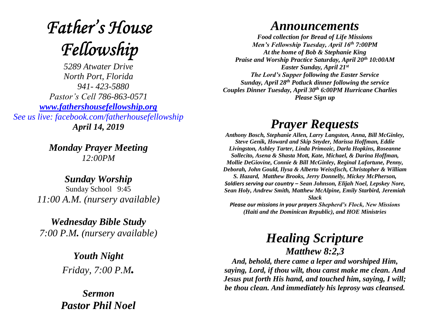# **Father's House** Fellowship

*5289 Atwater Drive North Port, Florida 941- 423-5880 Pastor's Cell 786-863-0571 [www.fathershousefellowship.org](http://www.fathershousefellowship.org/) See us live: facebook.com/fatherhousefellowship April 14, 2019*

> *Monday Prayer Meeting 12:00PM*

*Sunday Worship* Sunday School 9:45 *11:00 A.M. (nursery available)*

*Wednesday Bible Study 7:00 P.M. (nursery available)*

> *Youth Night Friday, 7:00 P.M.*

*Sermon Pastor Phil Noel*

## *Announcements*

*Food collection for Bread of Life Missions Men's Fellowship Tuesday, April 16th 7:00PM At the home of Bob & Stephanie King Praise and Worship Practice Saturday, April 20th 10:00AM Easter Sunday, April 21st The Lord's Supper following the Easter Service Sunday, April 28th Potluck dinner following the service Couples Dinner Tuesday, April 30th 6:00PM Hurricane Charlies Please Sign up*

# *Prayer Requests*

*Anthony Bosch, Stephanie Allen, Larry Langston, Anna, Bill McGinley, Steve Genik, Howard and Skip Snyder, Marissa Hoffman, Eddie Livingston, Ashley Tarter, Linda Primozic, Darla Hopkins, Roseanne Sollecito, Asena & Shasta Mott, Kate, Michael, & Darina Hoffman, Mollie DeGiovine, Connie & Bill McGinley, Reginal Lafortune, Penny, Deborah, John Gould, Ilysa & Alberto Weissfisch, Christopher & William S. Hazard, Matthew Brooks, Jerry Donnelly, Mickey McPherson, Soldiers serving our country – Sean Johnson, Elijah Noel, Lepskey Nore, Sean Holy, Andrew Smith, Matthew McAlpine, Emily Starbird, Jeremiah Slack Please our missions in your prayers Shepherd's Flock, New Missions* 

*(Haiti and the Dominican Republic), and HOE Ministries*

### *Healing Scripture Matthew 8:2,3*

*And, behold, there came a leper and worshiped Him, saying, Lord, if thou wilt, thou canst make me clean. And Jesus put forth His hand, and touched him, saying, I will; be thou clean. And immediately his leprosy was cleansed.*